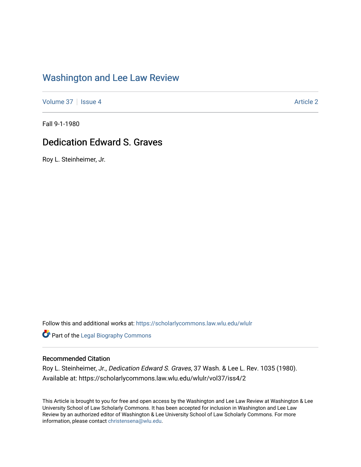### [Washington and Lee Law Review](https://scholarlycommons.law.wlu.edu/wlulr)

[Volume 37](https://scholarlycommons.law.wlu.edu/wlulr/vol37) | [Issue 4](https://scholarlycommons.law.wlu.edu/wlulr/vol37/iss4) [Article 2](https://scholarlycommons.law.wlu.edu/wlulr/vol37/iss4/2) Article 2

Fall 9-1-1980

## Dedication Edward S. Graves

Roy L. Steinheimer, Jr.

Follow this and additional works at: [https://scholarlycommons.law.wlu.edu/wlulr](https://scholarlycommons.law.wlu.edu/wlulr?utm_source=scholarlycommons.law.wlu.edu%2Fwlulr%2Fvol37%2Fiss4%2F2&utm_medium=PDF&utm_campaign=PDFCoverPages) 

**Part of the Legal Biography Commons** 

#### Recommended Citation

Roy L. Steinheimer, Jr., Dedication Edward S. Graves, 37 Wash. & Lee L. Rev. 1035 (1980). Available at: https://scholarlycommons.law.wlu.edu/wlulr/vol37/iss4/2

This Article is brought to you for free and open access by the Washington and Lee Law Review at Washington & Lee University School of Law Scholarly Commons. It has been accepted for inclusion in Washington and Lee Law Review by an authorized editor of Washington & Lee University School of Law Scholarly Commons. For more information, please contact [christensena@wlu.edu](mailto:christensena@wlu.edu).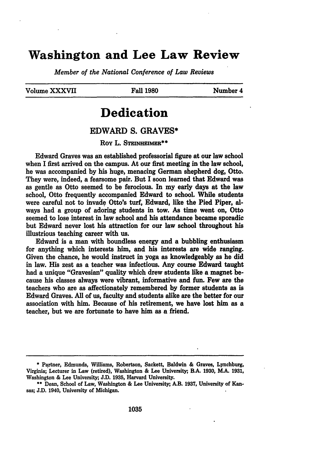### **Washington and Lee Law Review**

*Member of the National Conference of Law Reviews*

Volume XXXVII Fall **1980** Number 4

# **Dedication**

#### EDWARD **S.** GRAVES\*

Roy L. STEINHEIMER<sup>\*\*</sup>

Edward Graves was an established professorial figure at our law school when I first arrived on the campus. At our first meeting in the law school, he was accompanied **by** his huge, menacing German shepherd dog, Otto. They were, indeed, a fearsome pair. But **I** soon learned that Edward was as gentle as Otto seemed to be ferocious. In my early days at the law school, Otto frequently accompanied Edward to school. While students were careful not to invade Otto's turf, Edward, like the Pied Piper, always had a group of adoring students in tow. As time went on, Otto seemed to lose interest in law school and his attendance became sporadic but Edward never lost his attraction for our law school throughout his illustrious teaching career with us.

Edward is a man with boundless energy and a bubbling enthusiasm for anything which interests him, and his interests are wide ranging. Given the chance, he would instruct in yoga as knowledgeably as he did in law. His zest as a teacher was infectious. Any course Edward taught had a unique "Gravesian" quality which drew students like a magnet because his classes always were vibrant, informative and fun. Few are the teachers who are as affectionately remembered **by** former students as is Edward Graves. **All** of us, faculty and students alike are the better for our association with him. Because of his retirement, we have lost him as a teacher, but we are fortunate to have him as a friend.

**<sup>\*</sup>** Partner, Edmunds, Williams, Robertson, Sackett, Baldwin **&** Graves, Lynchburg, Virginia; Lecturer in Law (retired), Washington **&** Lee University;, B.A. **1930,** M.A. **1931,** Washington **&** Lee University;, **J.D. 1935,** Harvard University. **\*\*** Dean, School of Law, Washington **&** Lee University;, A.B. **1937,** University **of** Kan-

**sas; J.D.** 1940, University of Michigan.